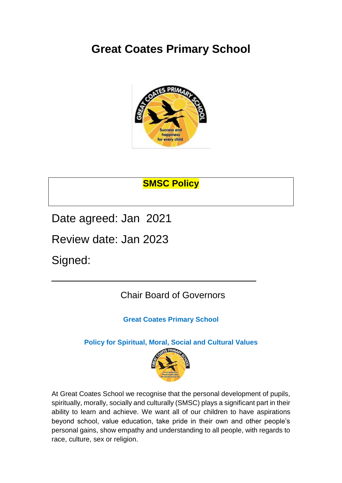# **Great Coates Primary School**



## **SMSC Policy**

Date agreed: Jan 2021

Review date: Jan 2023

Signed:

Chair Board of Governors

\_\_\_\_\_\_\_\_\_\_\_\_\_\_\_\_\_\_\_\_\_\_\_\_\_\_\_\_\_\_\_\_

**Great Coates Primary School**

**Policy for Spiritual, Moral, Social and Cultural Values**



At Great Coates School we recognise that the personal development of pupils, spiritually, morally, socially and culturally (SMSC) plays a significant part in their ability to learn and achieve. We want all of our children to have aspirations beyond school, value education, take pride in their own and other people's personal gains, show empathy and understanding to all people, with regards to race, culture, sex or religion.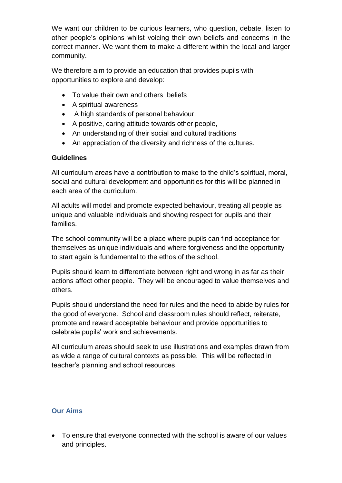We want our children to be curious learners, who question, debate, listen to other people's opinions whilst voicing their own beliefs and concerns in the correct manner. We want them to make a different within the local and larger community.

We therefore aim to provide an education that provides pupils with opportunities to explore and develop:

- To value their own and others beliefs
- A spiritual awareness
- A high standards of personal behaviour,
- A positive, caring attitude towards other people,
- An understanding of their social and cultural traditions
- An appreciation of the diversity and richness of the cultures.

#### **Guidelines**

All curriculum areas have a contribution to make to the child's spiritual, moral, social and cultural development and opportunities for this will be planned in each area of the curriculum.

All adults will model and promote expected behaviour, treating all people as unique and valuable individuals and showing respect for pupils and their families.

The school community will be a place where pupils can find acceptance for themselves as unique individuals and where forgiveness and the opportunity to start again is fundamental to the ethos of the school.

Pupils should learn to differentiate between right and wrong in as far as their actions affect other people. They will be encouraged to value themselves and others.

Pupils should understand the need for rules and the need to abide by rules for the good of everyone. School and classroom rules should reflect, reiterate, promote and reward acceptable behaviour and provide opportunities to celebrate pupils' work and achievements.

All curriculum areas should seek to use illustrations and examples drawn from as wide a range of cultural contexts as possible. This will be reflected in teacher's planning and school resources.

#### **Our Aims**

 To ensure that everyone connected with the school is aware of our values and principles.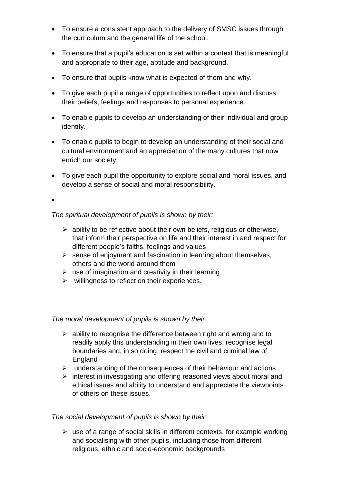- To ensure a consistent approach to the delivery of SMSC issues through the curriculum and the general life of the school.
- To ensure that a pupil's education is set within a context that is meaningful and appropriate to their age, aptitude and background.
- To ensure that pupils know what is expected of them and why.
- To give each pupil a range of opportunities to reflect upon and discuss their beliefs, feelings and responses to personal experience.
- To enable pupils to develop an understanding of their individual and group identity.
- To enable pupils to begin to develop an understanding of their social and cultural environment and an appreciation of the many cultures that now enrich our society.
- To give each pupil the opportunity to explore social and moral issues, and develop a sense of social and moral responsibility.

 $\bullet$ 

*The spiritual development of pupils is shown by their:* 

- $\triangleright$  ability to be reflective about their own beliefs, religious or otherwise, that inform their perspective on life and their interest in and respect for different people's faiths, feelings and values
- $\triangleright$  sense of enjoyment and fascination in learning about themselves, others and the world around them
- $\triangleright$  use of imagination and creativity in their learning
- $\triangleright$  willingness to reflect on their experiences.

#### *The moral development of pupils is shown by their:*

- $\triangleright$  ability to recognise the difference between right and wrong and to readily apply this understanding in their own lives, recognise legal boundaries and, in so doing, respect the civil and criminal law of England
- $\triangleright$  understanding of the consequences of their behaviour and actions
- $\triangleright$  interest in investigating and offering reasoned views about moral and ethical issues and ability to understand and appreciate the viewpoints of others on these issues.

*The social development of pupils is shown by their:* 

 $\triangleright$  use of a range of social skills in different contexts, for example working and socialising with other pupils, including those from different religious, ethnic and socio-economic backgrounds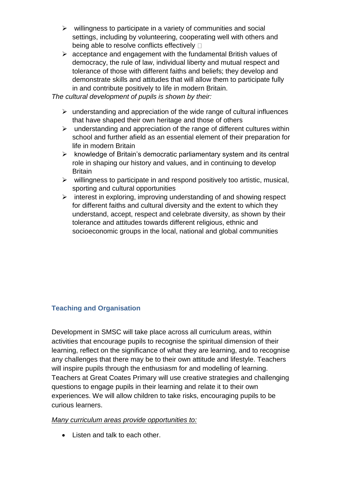- $\triangleright$  willingness to participate in a variety of communities and social settings, including by volunteering, cooperating well with others and being able to resolve conflicts effectively  $\Box$
- $\triangleright$  acceptance and engagement with the fundamental British values of democracy, the rule of law, individual liberty and mutual respect and tolerance of those with different faiths and beliefs; they develop and demonstrate skills and attitudes that will allow them to participate fully in and contribute positively to life in modern Britain.

*The cultural development of pupils is shown by their:* 

- $\triangleright$  understanding and appreciation of the wide range of cultural influences that have shaped their own heritage and those of others
- $\triangleright$  understanding and appreciation of the range of different cultures within school and further afield as an essential element of their preparation for life in modern Britain
- $\triangleright$  knowledge of Britain's democratic parliamentary system and its central role in shaping our history and values, and in continuing to develop **Britain**
- $\triangleright$  willingness to participate in and respond positively too artistic, musical, sporting and cultural opportunities
- $\triangleright$  interest in exploring, improving understanding of and showing respect for different faiths and cultural diversity and the extent to which they understand, accept, respect and celebrate diversity, as shown by their tolerance and attitudes towards different religious, ethnic and socioeconomic groups in the local, national and global communities

### **Teaching and Organisation**

Development in SMSC will take place across all curriculum areas, within activities that encourage pupils to recognise the spiritual dimension of their learning, reflect on the significance of what they are learning, and to recognise any challenges that there may be to their own attitude and lifestyle. Teachers will inspire pupils through the enthusiasm for and modelling of learning. Teachers at Great Coates Primary will use creative strategies and challenging questions to engage pupils in their learning and relate it to their own experiences. We will allow children to take risks, encouraging pupils to be curious learners.

#### *Many curriculum areas provide opportunities to:*

• Listen and talk to each other.